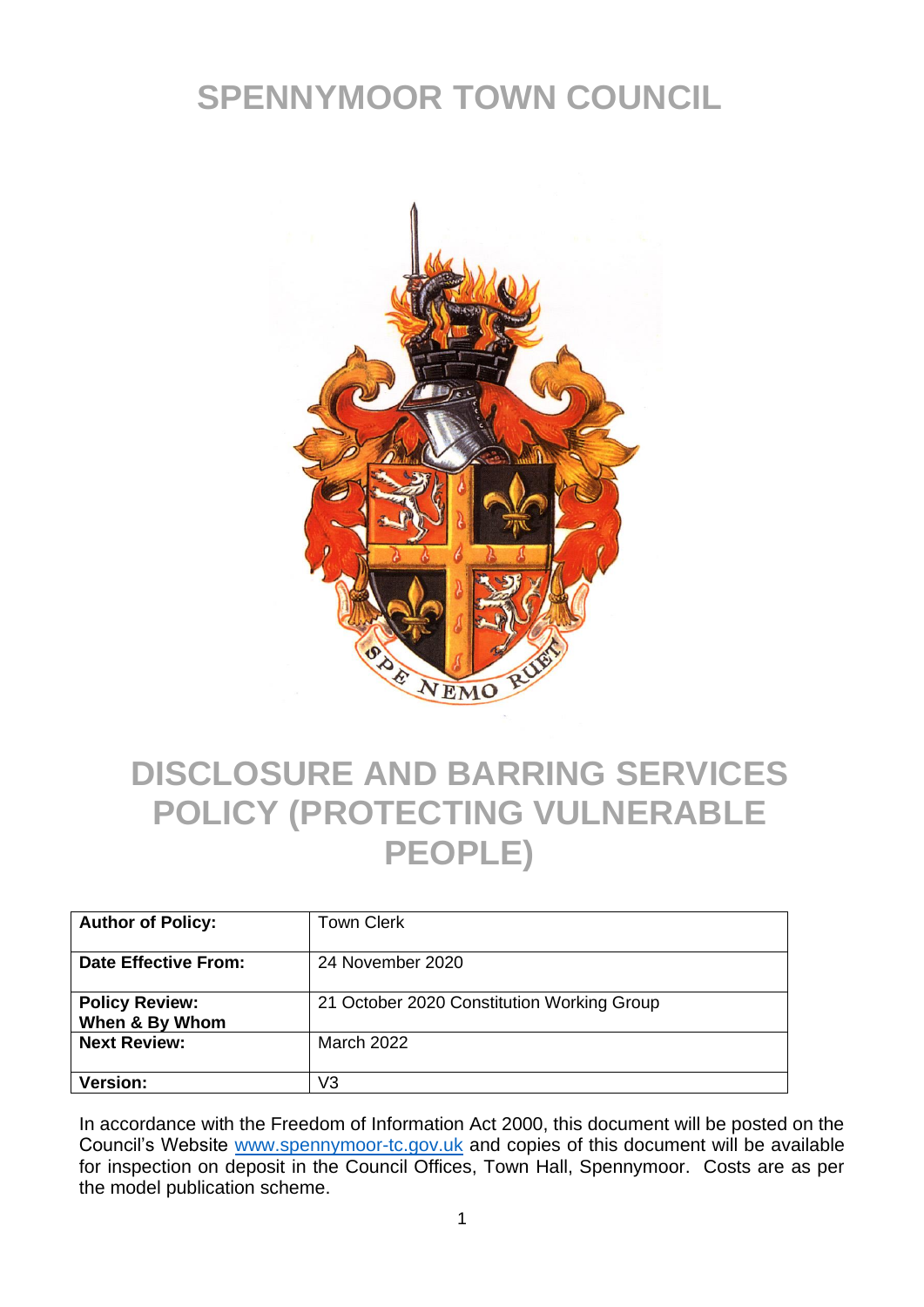# **SPENNYMOOR TOWN COUNCIL**



### **DISCLOSURE AND BARRING SERVICES POLICY (PROTECTING VULNERABLE PEOPLE)**

| <b>Author of Policy:</b>                | <b>Town Clerk</b>                          |
|-----------------------------------------|--------------------------------------------|
| Date Effective From:                    | 24 November 2020                           |
| <b>Policy Review:</b><br>When & By Whom | 21 October 2020 Constitution Working Group |
| <b>Next Review:</b>                     | <b>March 2022</b>                          |
| <b>Version:</b>                         | V3                                         |

In accordance with the Freedom of Information Act 2000, this document will be posted on the Council's Website [www.spennymoor-tc.gov.uk](http://www.spennymoor-tc.gov.uk/) and copies of this document will be available for inspection on deposit in the Council Offices, Town Hall, Spennymoor. Costs are as per the model publication scheme.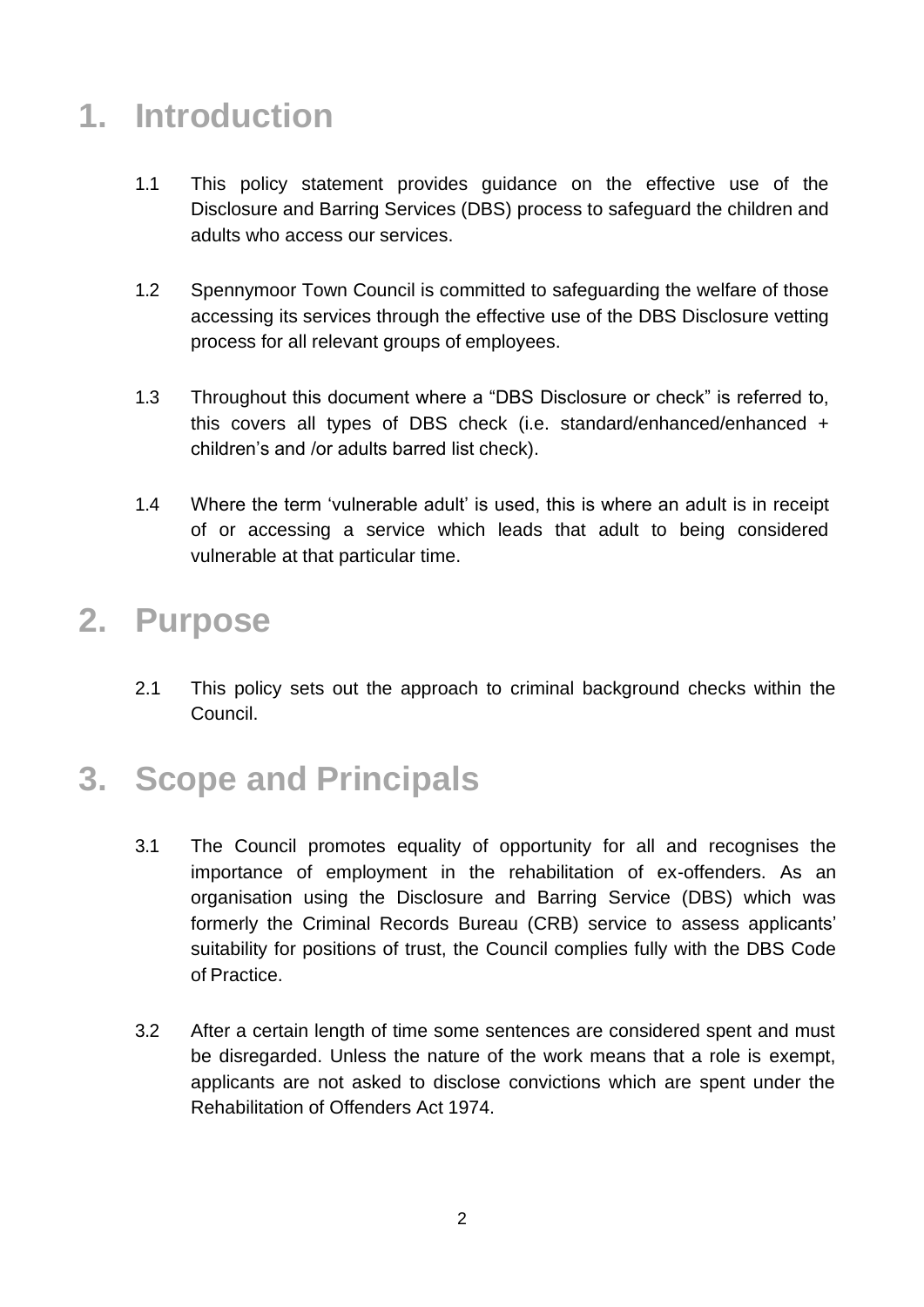### **1. Introduction**

- 1.1 This policy statement provides guidance on the effective use of the Disclosure and Barring Services (DBS) process to safeguard the children and adults who access our services.
- 1.2 Spennymoor Town Council is committed to safeguarding the welfare of those accessing its services through the effective use of the DBS Disclosure vetting process for all relevant groups of employees.
- 1.3 Throughout this document where a "DBS Disclosure or check" is referred to, this covers all types of DBS check (i.e. standard/enhanced/enhanced + children's and /or adults barred list check).
- 1.4 Where the term 'vulnerable adult' is used, this is where an adult is in receipt of or accessing a service which leads that adult to being considered vulnerable at that particular time.

#### **2. Purpose**

2.1 This policy sets out the approach to criminal background checks within the Council.

## **3. Scope and Principals**

- 3.1 The Council promotes equality of opportunity for all and recognises the importance of employment in the rehabilitation of ex-offenders. As an organisation using the Disclosure and Barring Service (DBS) which was formerly the Criminal Records Bureau (CRB) service to assess applicants' suitability for positions of trust, the Council complies fully with the DBS Code of Practice.
- 3.2 After a certain length of time some sentences are considered spent and must be disregarded. Unless the nature of the work means that a role is exempt, applicants are not asked to disclose convictions which are spent under the Rehabilitation of Offenders Act 1974.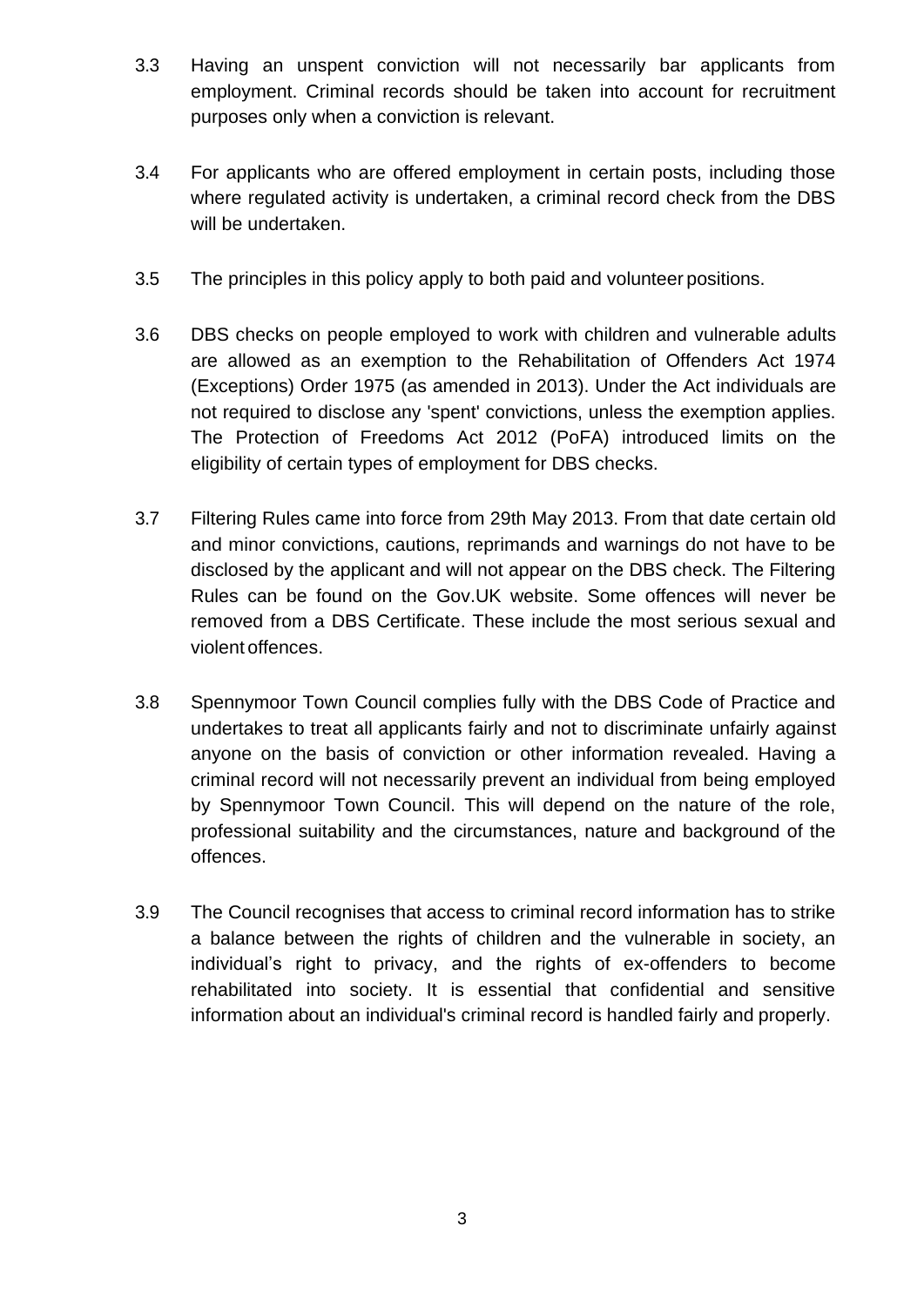- 3.3 Having an unspent conviction will not necessarily bar applicants from employment. Criminal records should be taken into account for recruitment purposes only when a conviction is relevant.
- 3.4 For applicants who are offered employment in certain posts, including those where regulated activity is undertaken, a criminal record check from the DBS will be undertaken.
- 3.5 The principles in this policy apply to both paid and volunteer positions.
- 3.6 DBS checks on people employed to work with children and vulnerable adults are allowed as an exemption to the Rehabilitation of Offenders Act 1974 (Exceptions) Order 1975 (as amended in 2013). Under the Act individuals are not required to disclose any 'spent' convictions, unless the exemption applies. The Protection of Freedoms Act 2012 (PoFA) introduced limits on the eligibility of certain types of employment for DBS checks.
- 3.7 Filtering Rules came into force from 29th May 2013. From that date certain old and minor convictions, cautions, reprimands and warnings do not have to be disclosed by the applicant and will not appear on the DBS check. The Filtering Rules can be found on the Gov.UK website. Some offences will never be removed from a DBS Certificate. These include the most serious sexual and violent offences.
- 3.8 Spennymoor Town Council complies fully with the DBS Code of Practice and undertakes to treat all applicants fairly and not to discriminate unfairly against anyone on the basis of conviction or other information revealed. Having a criminal record will not necessarily prevent an individual from being employed by Spennymoor Town Council. This will depend on the nature of the role, professional suitability and the circumstances, nature and background of the offences.
- 3.9 The Council recognises that access to criminal record information has to strike a balance between the rights of children and the vulnerable in society, an individual's right to privacy, and the rights of ex-offenders to become rehabilitated into society. It is essential that confidential and sensitive information about an individual's criminal record is handled fairly and properly.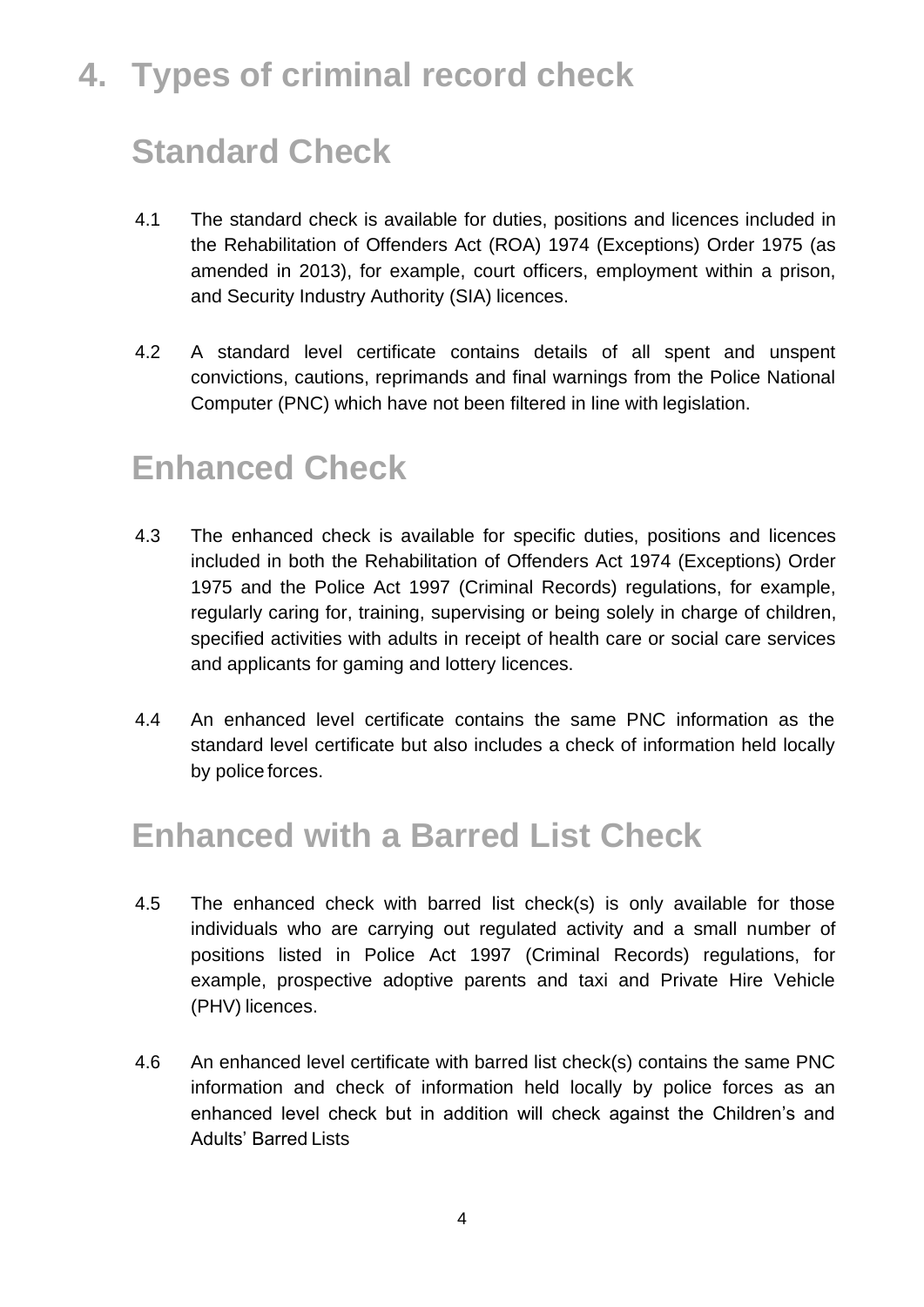# **4. Types of criminal record check**

## **Standard Check**

- 4.1 The standard check is available for duties, positions and licences included in the Rehabilitation of Offenders Act (ROA) 1974 (Exceptions) Order 1975 (as amended in 2013), for example, court officers, employment within a prison, and Security Industry Authority (SIA) licences.
- 4.2 A standard level certificate contains details of all spent and unspent convictions, cautions, reprimands and final warnings from the Police National Computer (PNC) which have not been filtered in line with legislation.

#### **Enhanced Check**

- 4.3 The enhanced check is available for specific duties, positions and licences included in both the Rehabilitation of Offenders Act 1974 (Exceptions) Order 1975 and the Police Act 1997 (Criminal Records) regulations, for example, regularly caring for, training, supervising or being solely in charge of children, specified activities with adults in receipt of health care or social care services and applicants for gaming and lottery licences.
- 4.4 An enhanced level certificate contains the same PNC information as the standard level certificate but also includes a check of information held locally by police forces.

#### **Enhanced with a Barred List Check**

- 4.5 The enhanced check with barred list check(s) is only available for those individuals who are carrying out regulated activity and a small number of positions listed in Police Act 1997 (Criminal Records) regulations, for example, prospective adoptive parents and taxi and Private Hire Vehicle (PHV) licences.
- 4.6 An enhanced level certificate with barred list check(s) contains the same PNC information and check of information held locally by police forces as an enhanced level check but in addition will check against the Children's and Adults' Barred Lists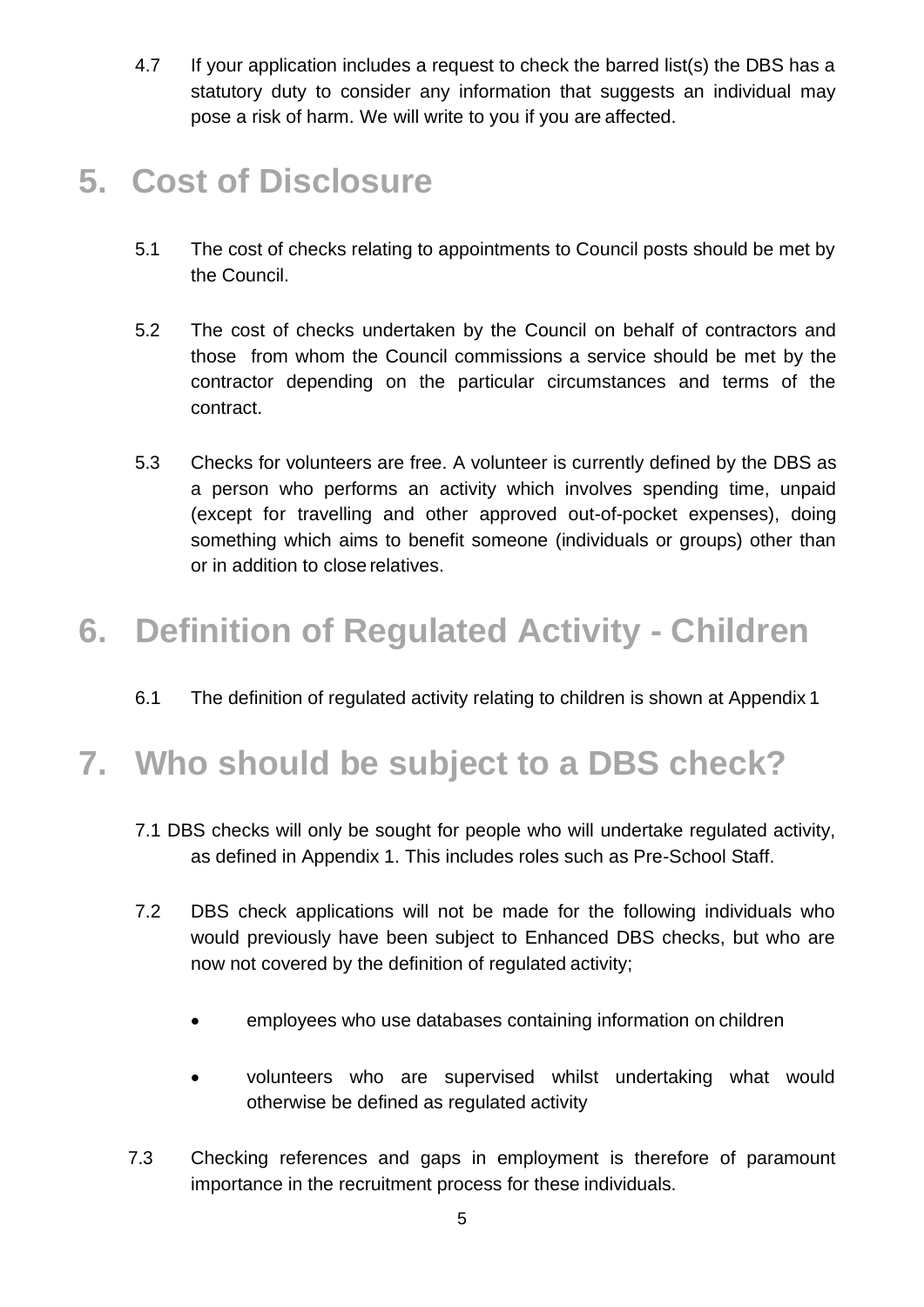4.7 If your application includes a request to check the barred list(s) the DBS has a statutory duty to consider any information that suggests an individual may pose a risk of harm. We will write to you if you are affected.

### **5. Cost of Disclosure**

- 5.1 The cost of checks relating to appointments to Council posts should be met by the Council.
- 5.2 The cost of checks undertaken by the Council on behalf of contractors and those from whom the Council commissions a service should be met by the contractor depending on the particular circumstances and terms of the contract.
- 5.3 Checks for volunteers are free. A volunteer is currently defined by the DBS as a person who performs an activity which involves spending time, unpaid (except for travelling and other approved out-of-pocket expenses), doing something which aims to benefit someone (individuals or groups) other than or in addition to close relatives.

### **6. Definition of Regulated Activity - Children**

6.1 The definition of regulated activity relating to children is shown at Appendix 1

# **7. Who should be subject to a DBS check?**

- 7.1 DBS checks will only be sought for people who will undertake regulated activity, as defined in Appendix 1. This includes roles such as Pre-School Staff.
- 7.2 DBS check applications will not be made for the following individuals who would previously have been subject to Enhanced DBS checks, but who are now not covered by the definition of regulated activity;
	- employees who use databases containing information on children
	- volunteers who are supervised whilst undertaking what would otherwise be defined as regulated activity
- 7.3 Checking references and gaps in employment is therefore of paramount importance in the recruitment process for these individuals.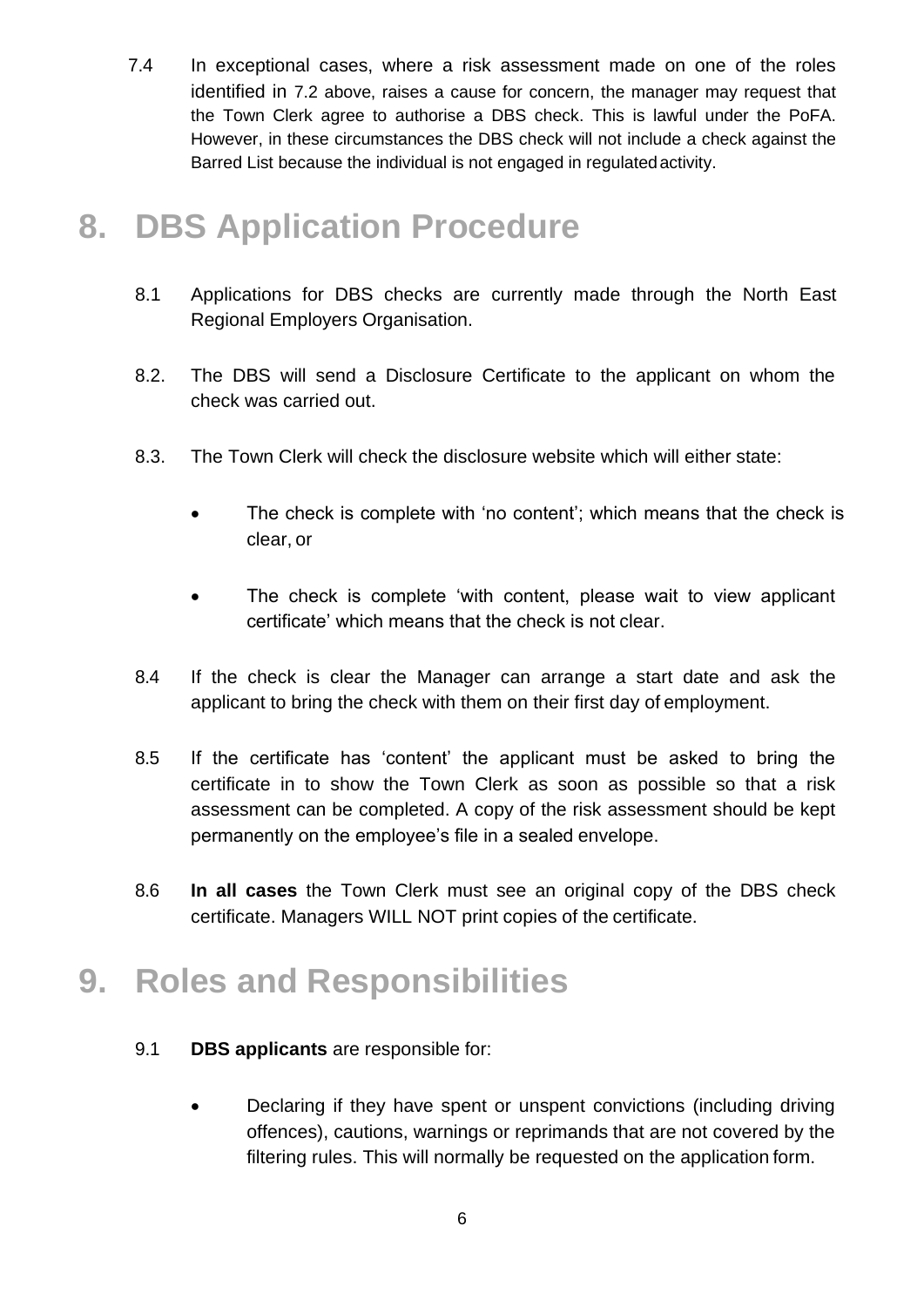7.4 In exceptional cases, where a risk assessment made on one of the roles identified in 7.2 above, raises a cause for concern, the manager may request that the Town Clerk agree to authorise a DBS check. This is lawful under the PoFA. However, in these circumstances the DBS check will not include a check against the Barred List because the individual is not engaged in regulatedactivity.

#### **8. DBS Application Procedure**

- 8.1 Applications for DBS checks are currently made through the North East Regional Employers Organisation.
- 8.2. The DBS will send a Disclosure Certificate to the applicant on whom the check was carried out.
- 8.3. The Town Clerk will check the disclosure website which will either state:
	- The check is complete with 'no content'; which means that the check is clear, or
	- The check is complete 'with content, please wait to view applicant certificate' which means that the check is not clear.
- 8.4 If the check is clear the Manager can arrange a start date and ask the applicant to bring the check with them on their first day of employment.
- 8.5 If the certificate has 'content' the applicant must be asked to bring the certificate in to show the Town Clerk as soon as possible so that a risk assessment can be completed. A copy of the risk assessment should be kept permanently on the employee's file in a sealed envelope.
- 8.6 **In all cases** the Town Clerk must see an original copy of the DBS check certificate. Managers WILL NOT print copies of the certificate.

## **9. Roles and Responsibilities**

- 9.1 **DBS applicants** are responsible for:
	- Declaring if they have spent or unspent convictions (including driving offences), cautions, warnings or reprimands that are not covered by the filtering rules. This will normally be requested on the application form.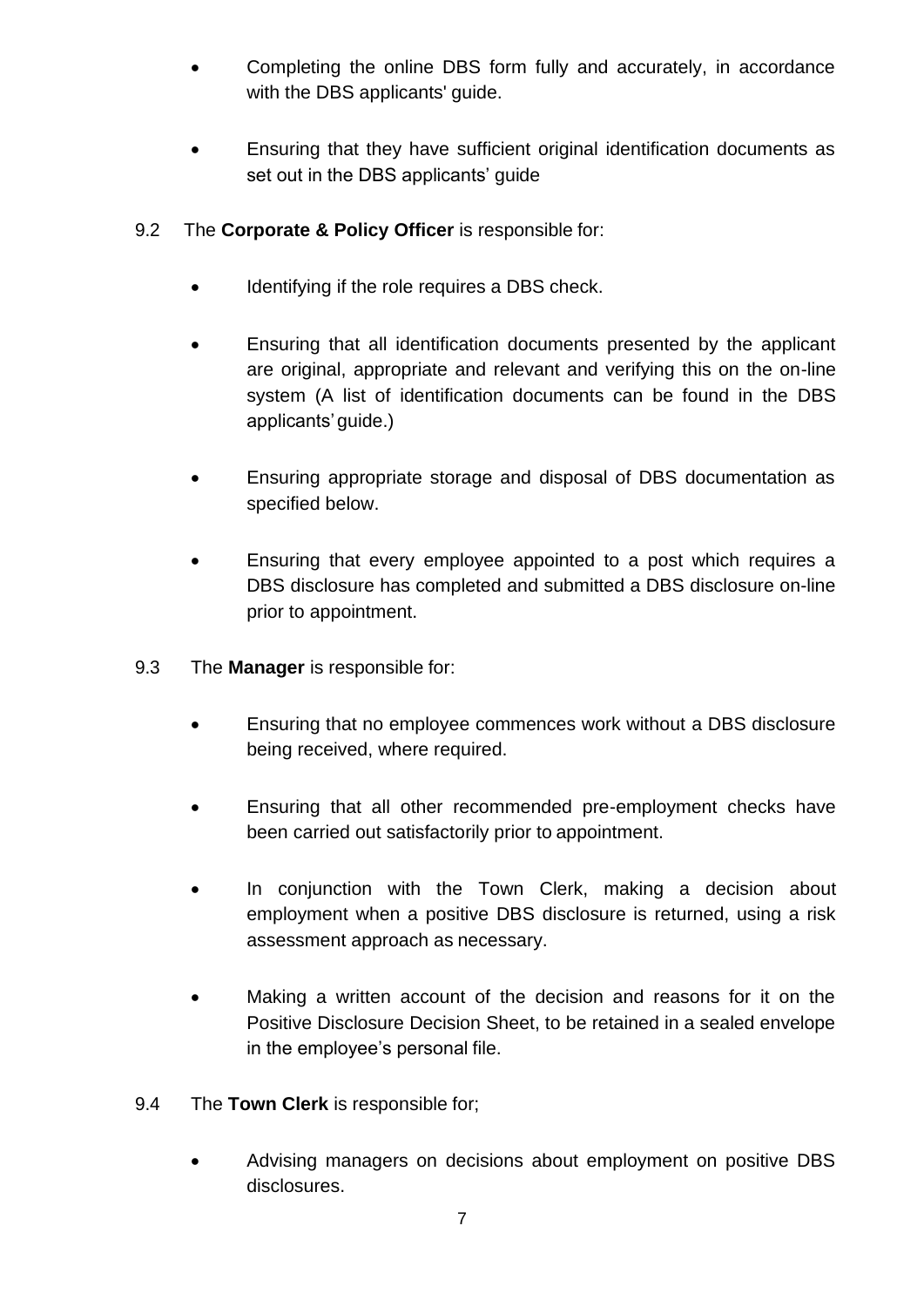- Completing the online DBS form fully and accurately, in accordance with the DBS applicants' guide.
- Ensuring that they have sufficient original identification documents as set out in the DBS applicants' guide
- 9.2 The **Corporate & Policy Officer** is responsible for:
	- Identifying if the role requires a DBS check.
	- Ensuring that all identification documents presented by the applicant are original, appropriate and relevant and verifying this on the on-line system (A list of identification documents can be found in the DBS applicants' quide.)
	- Ensuring appropriate storage and disposal of DBS documentation as specified below.
	- Ensuring that every employee appointed to a post which requires a DBS disclosure has completed and submitted a DBS disclosure on-line prior to appointment.
- 9.3 The **Manager** is responsible for:
	- Ensuring that no employee commences work without a DBS disclosure being received, where required.
	- Ensuring that all other recommended pre-employment checks have been carried out satisfactorily prior to appointment.
	- In conjunction with the Town Clerk, making a decision about employment when a positive DBS disclosure is returned, using a risk assessment approach as necessary.
	- Making a written account of the decision and reasons for it on the Positive Disclosure Decision Sheet, to be retained in a sealed envelope in the employee's personal file.
- 9.4 The **Town Clerk** is responsible for;
	- Advising managers on decisions about employment on positive DBS disclosures.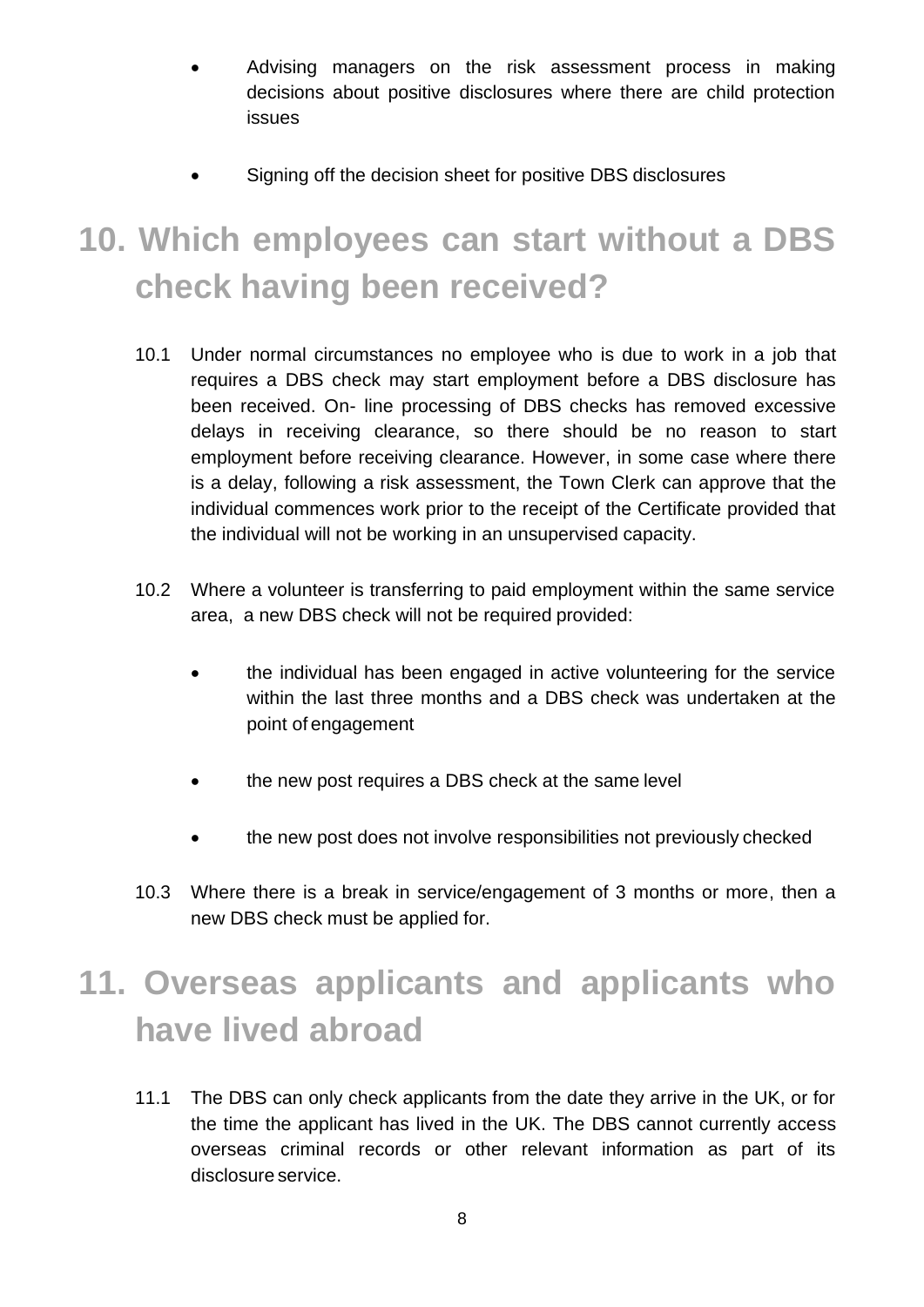- Advising managers on the risk assessment process in making decisions about positive disclosures where there are child protection issues
- Signing off the decision sheet for positive DBS disclosures

# **10. Which employees can start without a DBS check having been received?**

- 10.1 Under normal circumstances no employee who is due to work in a job that requires a DBS check may start employment before a DBS disclosure has been received. On- line processing of DBS checks has removed excessive delays in receiving clearance, so there should be no reason to start employment before receiving clearance. However, in some case where there is a delay, following a risk assessment, the Town Clerk can approve that the individual commences work prior to the receipt of the Certificate provided that the individual will not be working in an unsupervised capacity.
- 10.2 Where a volunteer is transferring to paid employment within the same service area, a new DBS check will not be required provided:
	- the individual has been engaged in active volunteering for the service within the last three months and a DBS check was undertaken at the point of engagement
	- the new post requires a DBS check at the same level
	- the new post does not involve responsibilities not previously checked
- 10.3 Where there is a break in service/engagement of 3 months or more, then a new DBS check must be applied for.

# **11. Overseas applicants and applicants who have lived abroad**

11.1 The DBS can only check applicants from the date they arrive in the UK, or for the time the applicant has lived in the UK. The DBS cannot currently access overseas criminal records or other relevant information as part of its disclosure service.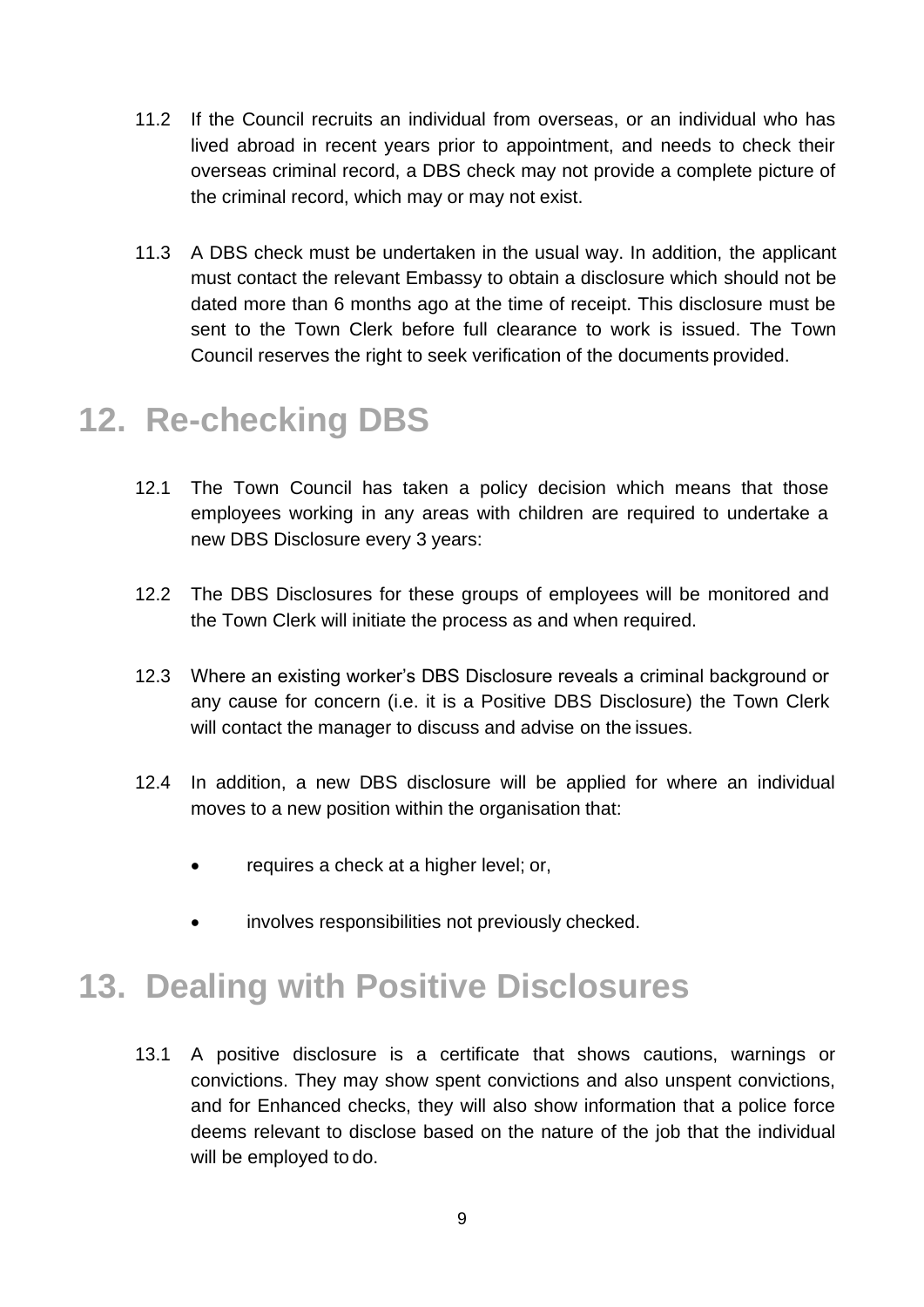- 11.2 If the Council recruits an individual from overseas, or an individual who has lived abroad in recent years prior to appointment, and needs to check their overseas criminal record, a DBS check may not provide a complete picture of the criminal record, which may or may not exist.
- 11.3 A DBS check must be undertaken in the usual way. In addition, the applicant must contact the relevant Embassy to obtain a disclosure which should not be dated more than 6 months ago at the time of receipt. This disclosure must be sent to the Town Clerk before full clearance to work is issued. The Town Council reserves the right to seek verification of the documents provided.

## **12. Re-checking DBS**

- 12.1 The Town Council has taken a policy decision which means that those employees working in any areas with children are required to undertake a new DBS Disclosure every 3 years:
- 12.2 The DBS Disclosures for these groups of employees will be monitored and the Town Clerk will initiate the process as and when required.
- 12.3 Where an existing worker's DBS Disclosure reveals a criminal background or any cause for concern (i.e. it is a Positive DBS Disclosure) the Town Clerk will contact the manager to discuss and advise on the issues.
- 12.4 In addition, a new DBS disclosure will be applied for where an individual moves to a new position within the organisation that:
	- requires a check at a higher level; or,
	- involves responsibilities not previously checked.

## **13. Dealing with Positive Disclosures**

13.1 A positive disclosure is a certificate that shows cautions, warnings or convictions. They may show spent convictions and also unspent convictions, and for Enhanced checks, they will also show information that a police force deems relevant to disclose based on the nature of the job that the individual will be employed to do.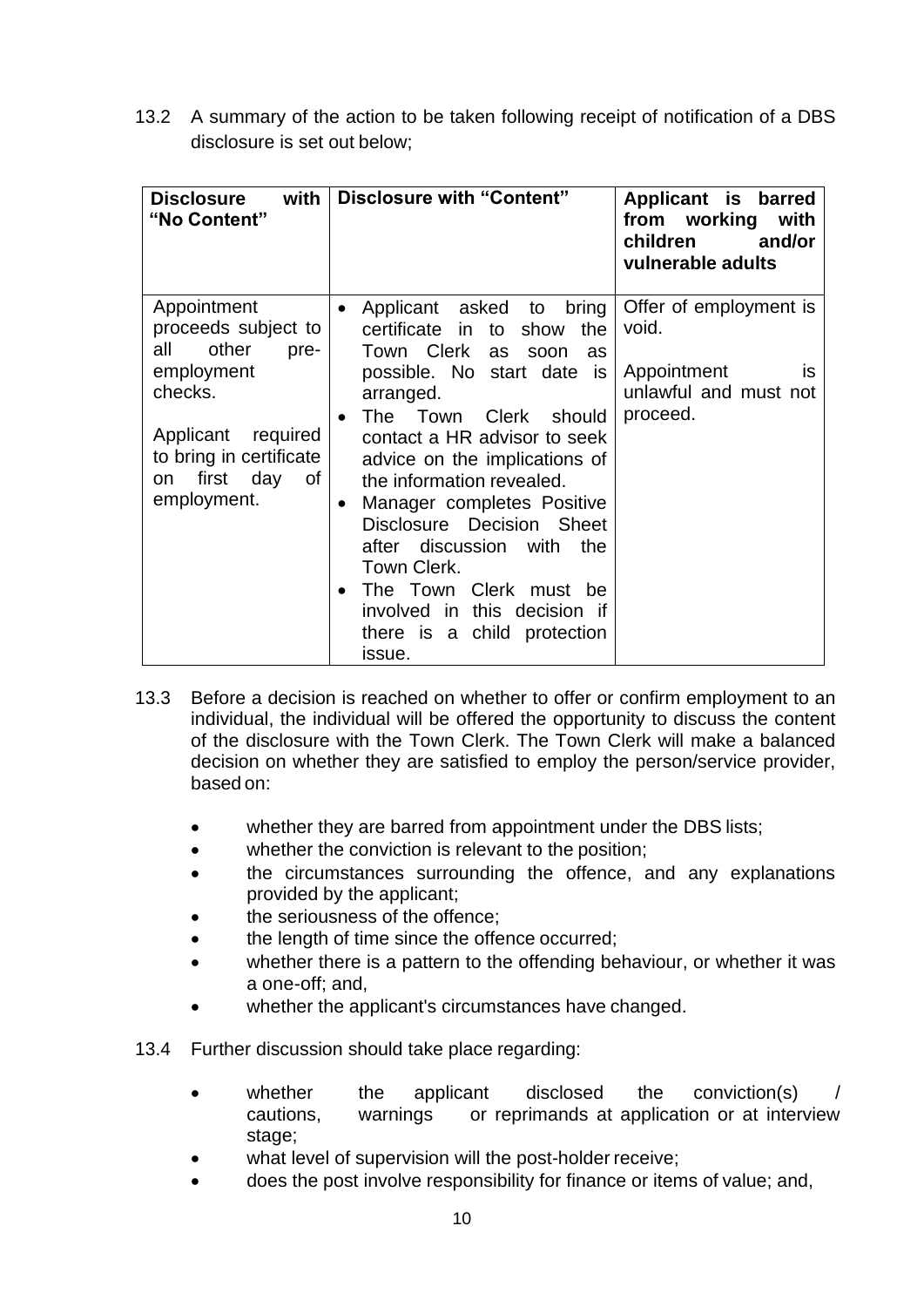13.2 A summary of the action to be taken following receipt of notification of a DBS disclosure is set out below;

| <b>Disclosure</b><br>with<br>"No Content"                                                | Disclosure with "Content"                                                                                                                                                                                                                                                                                            | Applicant is barred<br>from working<br>with<br>children<br>and/or<br>vulnerable adults |
|------------------------------------------------------------------------------------------|----------------------------------------------------------------------------------------------------------------------------------------------------------------------------------------------------------------------------------------------------------------------------------------------------------------------|----------------------------------------------------------------------------------------|
| Appointment<br>proceeds subject to<br>other<br>all<br>pre-                               | Applicant asked to bring<br>$\bullet$<br>certificate in<br>the<br>to<br>show<br>Town Clerk<br><b>as</b><br>soon<br>as                                                                                                                                                                                                | Offer of employment is<br>void.                                                        |
| employment<br>checks.                                                                    | possible. No start date is<br>arranged.<br>The Town<br>Clerk should<br>$\bullet$                                                                                                                                                                                                                                     | Appointment<br><b>IS</b><br>unlawful and must not<br>proceed.                          |
| Applicant<br>required<br>to bring in certificate<br>first day<br>0f<br>on<br>employment. | contact a HR advisor to seek<br>advice on the implications of<br>the information revealed.<br>Manager completes Positive<br>$\bullet$<br>Disclosure Decision Sheet<br>after discussion with<br>the<br>Town Clerk.<br>The Town Clerk must be<br>involved in this decision if<br>there is a child protection<br>issue. |                                                                                        |

- 13.3 Before a decision is reached on whether to offer or confirm employment to an individual, the individual will be offered the opportunity to discuss the content of the disclosure with the Town Clerk. The Town Clerk will make a balanced decision on whether they are satisfied to employ the person/service provider, based on:
	- whether they are barred from appointment under the DBS lists;
	- whether the conviction is relevant to the position;
	- the circumstances surrounding the offence, and any explanations provided by the applicant;
	- the seriousness of the offence;
	- the length of time since the offence occurred;
	- whether there is a pattern to the offending behaviour, or whether it was a one-off; and,
	- whether the applicant's circumstances have changed.
- 13.4 Further discussion should take place regarding:
	- whether the applicant disclosed the conviction(s) / cautions, warnings or reprimands at application or at interview stage;
	- what level of supervision will the post-holder receive;
	- does the post involve responsibility for finance or items of value; and,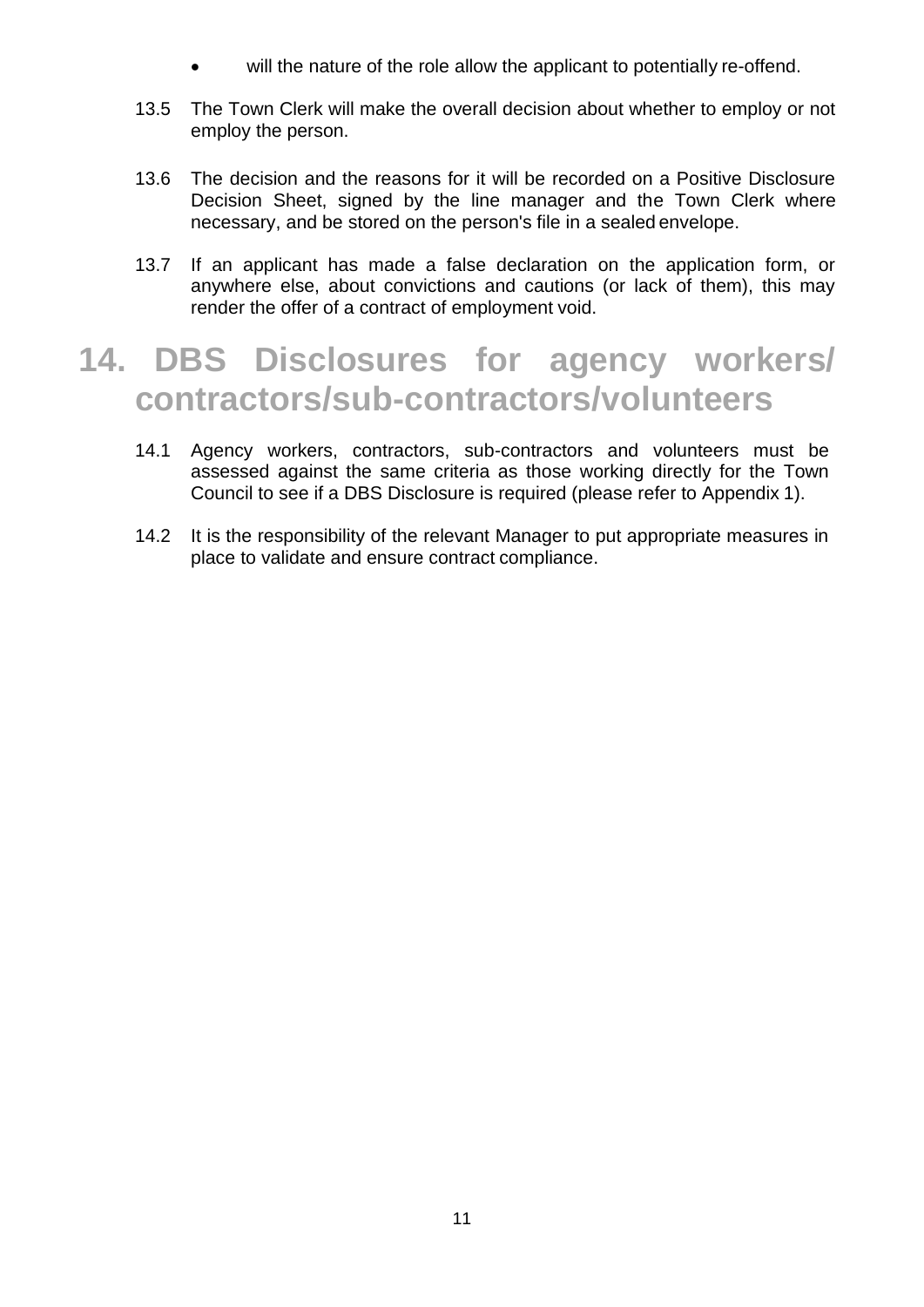- will the nature of the role allow the applicant to potentially re-offend.
- 13.5 The Town Clerk will make the overall decision about whether to employ or not employ the person.
- 13.6 The decision and the reasons for it will be recorded on a Positive Disclosure Decision Sheet, signed by the line manager and the Town Clerk where necessary, and be stored on the person's file in a sealed envelope.
- 13.7 If an applicant has made a false declaration on the application form, or anywhere else, about convictions and cautions (or lack of them), this may render the offer of a contract of employment void.

#### **14. DBS Disclosures for agency workers/ contractors/sub-contractors/volunteers**

- 14.1 Agency workers, contractors, sub-contractors and volunteers must be assessed against the same criteria as those working directly for the Town Council to see if a DBS Disclosure is required (please refer to Appendix 1).
- 14.2 It is the responsibility of the relevant Manager to put appropriate measures in place to validate and ensure contract compliance.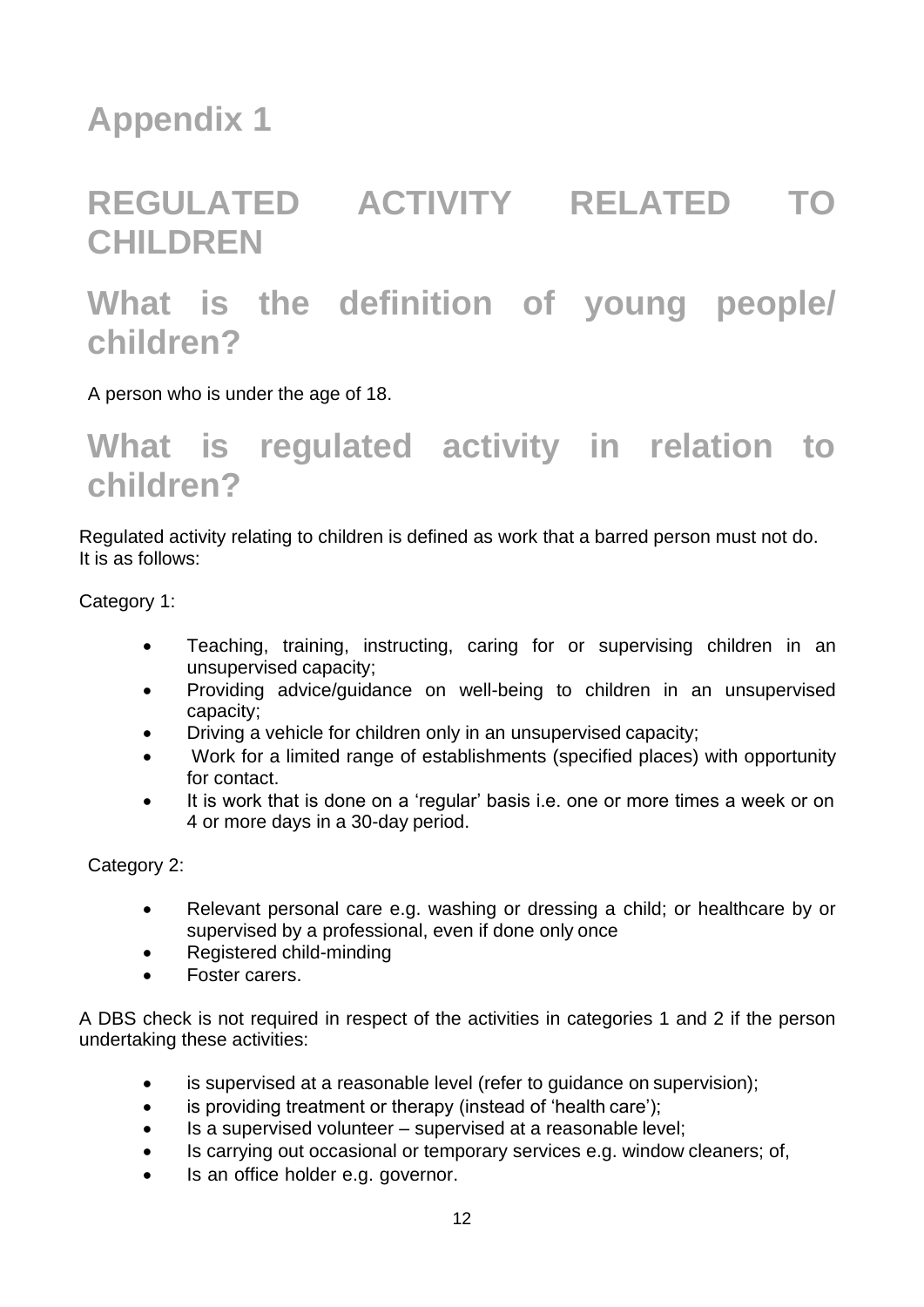### **Appendix 1**

# **REGULATED ACTIVITY RELATED TO CHILDREN**

### **What is the definition of young people/ children?**

A person who is under the age of 18.

#### **What is regulated activity in relation to children?**

Regulated activity relating to children is defined as work that a barred person must not do. It is as follows:

Category 1:

- Teaching, training, instructing, caring for or supervising children in an unsupervised capacity;
- Providing advice/guidance on well-being to children in an unsupervised capacity;
- Driving a vehicle for children only in an unsupervised capacity;
- Work for a limited range of establishments (specified places) with opportunity for contact.
- It is work that is done on a 'regular' basis i.e. one or more times a week or on 4 or more days in a 30-day period.

Category 2:

- Relevant personal care e.g. washing or dressing a child; or healthcare by or supervised by a professional, even if done only once
- Registered child-minding
- Foster carers.

A DBS check is not required in respect of the activities in categories 1 and 2 if the person undertaking these activities:

- is supervised at a reasonable level (refer to guidance on supervision);
- is providing treatment or therapy (instead of 'health care');
- Is a supervised volunteer supervised at a reasonable level;
- Is carrying out occasional or temporary services e.g. window cleaners; of,
- Is an office holder e.g. governor.